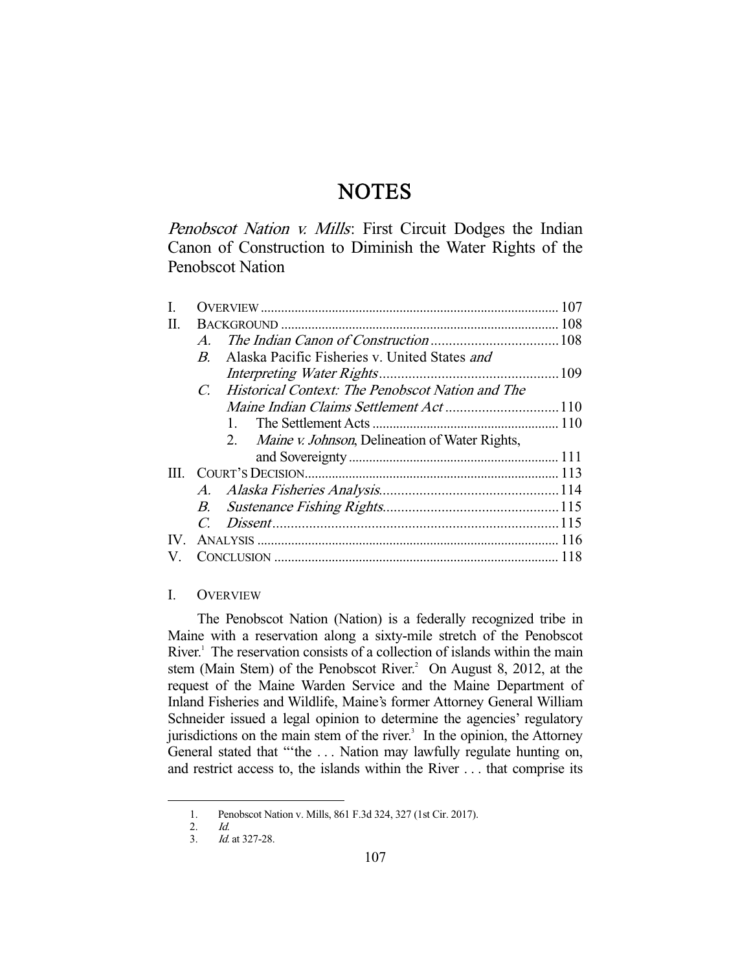# **NOTES**

Penobscot Nation v. Mills: First Circuit Dodges the Indian Canon of Construction to Diminish the Water Rights of the Penobscot Nation

| $\mathcal{A}$  |                                                              |                                                     |
|----------------|--------------------------------------------------------------|-----------------------------------------------------|
| $\overline{B}$ | Alaska Pacific Fisheries v. United States and                |                                                     |
|                |                                                              |                                                     |
|                |                                                              |                                                     |
|                |                                                              |                                                     |
|                |                                                              |                                                     |
|                | <i>Maine v. Johnson</i> , Delineation of Water Rights,<br>2. |                                                     |
|                |                                                              |                                                     |
|                |                                                              |                                                     |
|                |                                                              |                                                     |
|                |                                                              |                                                     |
|                |                                                              |                                                     |
| IV.            |                                                              |                                                     |
|                |                                                              |                                                     |
|                |                                                              | C. Historical Context: The Penobscot Nation and The |

## I. OVERVIEW

 The Penobscot Nation (Nation) is a federally recognized tribe in Maine with a reservation along a sixty-mile stretch of the Penobscot River.<sup>1</sup> The reservation consists of a collection of islands within the main stem (Main Stem) of the Penobscot River.<sup>2</sup> On August 8, 2012, at the request of the Maine Warden Service and the Maine Department of Inland Fisheries and Wildlife, Maine's former Attorney General William Schneider issued a legal opinion to determine the agencies' regulatory jurisdictions on the main stem of the river. $3$  In the opinion, the Attorney General stated that "'the . . . Nation may lawfully regulate hunting on, and restrict access to, the islands within the River . . . that comprise its

 <sup>1.</sup> Penobscot Nation v. Mills, 861 F.3d 324, 327 (1st Cir. 2017).

 <sup>2.</sup> Id. 3. Id. at 327-28.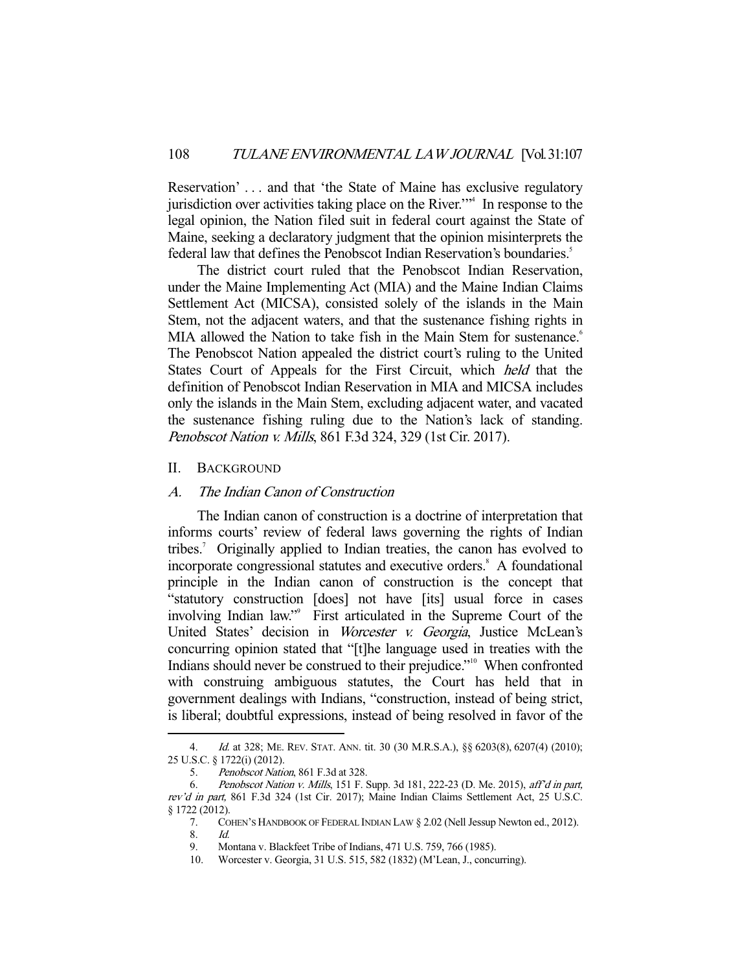Reservation' . . . and that 'the State of Maine has exclusive regulatory jurisdiction over activities taking place on the River.'"4 In response to the legal opinion, the Nation filed suit in federal court against the State of Maine, seeking a declaratory judgment that the opinion misinterprets the federal law that defines the Penobscot Indian Reservation's boundaries.<sup>5</sup>

 The district court ruled that the Penobscot Indian Reservation, under the Maine Implementing Act (MIA) and the Maine Indian Claims Settlement Act (MICSA), consisted solely of the islands in the Main Stem, not the adjacent waters, and that the sustenance fishing rights in MIA allowed the Nation to take fish in the Main Stem for sustenance.<sup>6</sup> The Penobscot Nation appealed the district court's ruling to the United States Court of Appeals for the First Circuit, which held that the definition of Penobscot Indian Reservation in MIA and MICSA includes only the islands in the Main Stem, excluding adjacent water, and vacated the sustenance fishing ruling due to the Nation's lack of standing. Penobscot Nation v. Mills, 861 F.3d 324, 329 (1st Cir. 2017).

#### II. BACKGROUND

-

### A. The Indian Canon of Construction

 The Indian canon of construction is a doctrine of interpretation that informs courts' review of federal laws governing the rights of Indian tribes.<sup>7</sup> Originally applied to Indian treaties, the canon has evolved to incorporate congressional statutes and executive orders.<sup>8</sup> A foundational principle in the Indian canon of construction is the concept that "statutory construction [does] not have [its] usual force in cases involving Indian law."<sup>9</sup> First articulated in the Supreme Court of the United States' decision in Worcester v. Georgia, Justice McLean's concurring opinion stated that "[t]he language used in treaties with the Indians should never be construed to their prejudice."<sup>10</sup> When confronted with construing ambiguous statutes, the Court has held that in government dealings with Indians, "construction, instead of being strict, is liberal; doubtful expressions, instead of being resolved in favor of the

 <sup>4.</sup> Id. at 328; ME. REV. STAT. ANN. tit. 30 (30 M.R.S.A.), §§ 6203(8), 6207(4) (2010); 25 U.S.C. § 1722(i) (2012).

 <sup>5.</sup> Penobscot Nation, 861 F.3d at 328.

 <sup>6.</sup> Penobscot Nation v. Mills, 151 F. Supp. 3d 181, 222-23 (D. Me. 2015), aff'd in part, rev'd in part, 861 F.3d 324 (1st Cir. 2017); Maine Indian Claims Settlement Act, 25 U.S.C. § 1722 (2012).

 <sup>7.</sup> COHEN'S HANDBOOK OF FEDERAL INDIAN LAW § 2.02 (Nell Jessup Newton ed., 2012). 8. Id.

 <sup>9.</sup> Montana v. Blackfeet Tribe of Indians, 471 U.S. 759, 766 (1985).

 <sup>10.</sup> Worcester v. Georgia, 31 U.S. 515, 582 (1832) (M'Lean, J., concurring).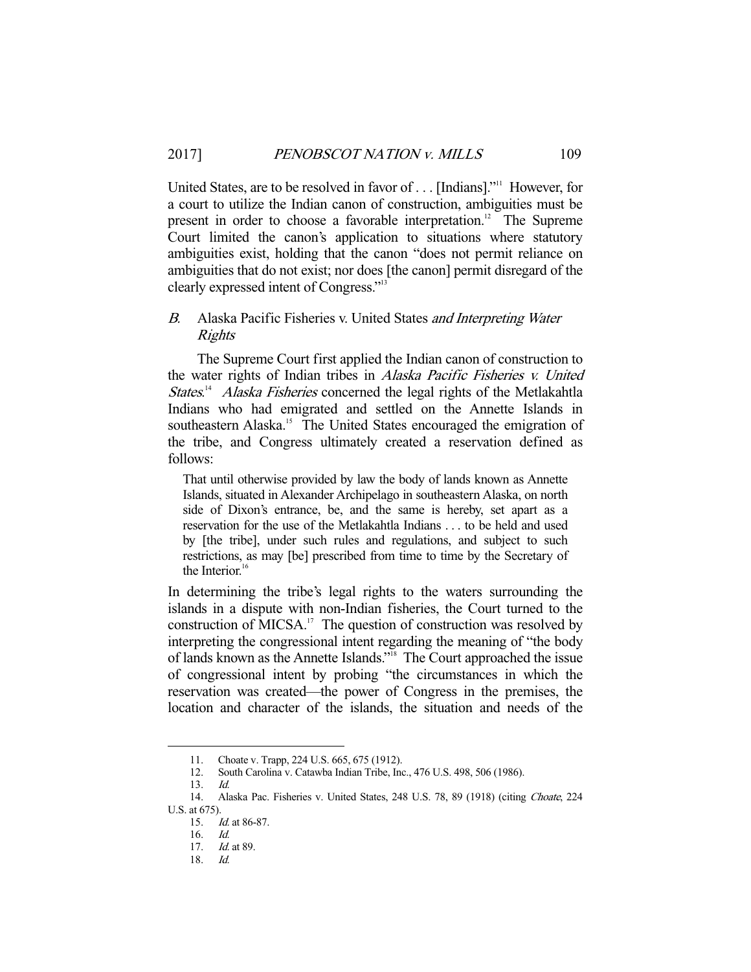United States, are to be resolved in favor of . . . [Indians]."<sup>11</sup> However, for a court to utilize the Indian canon of construction, ambiguities must be present in order to choose a favorable interpretation.<sup>12</sup> The Supreme Court limited the canon's application to situations where statutory ambiguities exist, holding that the canon "does not permit reliance on ambiguities that do not exist; nor does [the canon] permit disregard of the clearly expressed intent of Congress."13

## B. Alaska Pacific Fisheries v. United States and Interpreting Water Rights

 The Supreme Court first applied the Indian canon of construction to the water rights of Indian tribes in Alaska Pacific Fisheries v. United States.<sup>14</sup> Alaska Fisheries concerned the legal rights of the Metlakahtla Indians who had emigrated and settled on the Annette Islands in southeastern Alaska.<sup>15</sup> The United States encouraged the emigration of the tribe, and Congress ultimately created a reservation defined as follows:

That until otherwise provided by law the body of lands known as Annette Islands, situated in Alexander Archipelago in southeastern Alaska, on north side of Dixon's entrance, be, and the same is hereby, set apart as a reservation for the use of the Metlakahtla Indians . . . to be held and used by [the tribe], under such rules and regulations, and subject to such restrictions, as may [be] prescribed from time to time by the Secretary of the Interior. $16$ 

In determining the tribe's legal rights to the waters surrounding the islands in a dispute with non-Indian fisheries, the Court turned to the construction of MICSA.<sup>17</sup> The question of construction was resolved by interpreting the congressional intent regarding the meaning of "the body of lands known as the Annette Islands."18 The Court approached the issue of congressional intent by probing "the circumstances in which the reservation was created—the power of Congress in the premises, the location and character of the islands, the situation and needs of the

 <sup>11.</sup> Choate v. Trapp, 224 U.S. 665, 675 (1912).

 <sup>12.</sup> South Carolina v. Catawba Indian Tribe, Inc., 476 U.S. 498, 506 (1986).

 <sup>13.</sup> Id.

 <sup>14.</sup> Alaska Pac. Fisheries v. United States, 248 U.S. 78, 89 (1918) (citing Choate, 224 U.S. at 675).

 <sup>15.</sup> Id. at 86-87.

 <sup>16.</sup> Id.

 <sup>17.</sup> Id. at 89.

 <sup>18.</sup> Id.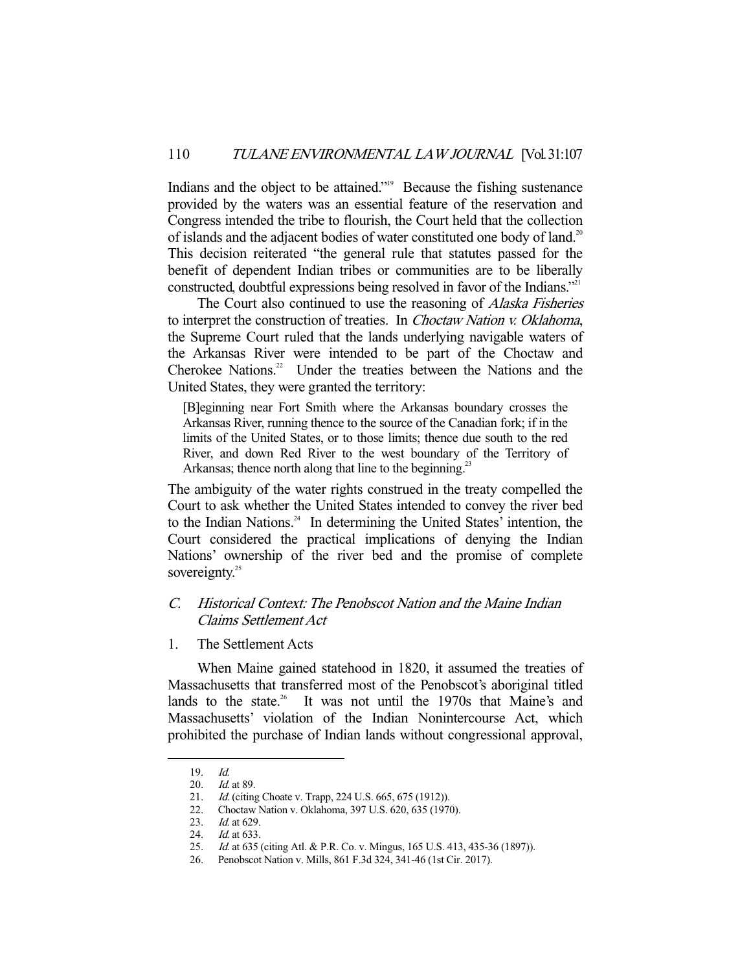Indians and the object to be attained."19 Because the fishing sustenance provided by the waters was an essential feature of the reservation and Congress intended the tribe to flourish, the Court held that the collection of islands and the adjacent bodies of water constituted one body of land.<sup>20</sup> This decision reiterated "the general rule that statutes passed for the benefit of dependent Indian tribes or communities are to be liberally constructed, doubtful expressions being resolved in favor of the Indians.<sup>"21</sup>

 The Court also continued to use the reasoning of Alaska Fisheries to interpret the construction of treaties. In Choctaw Nation v. Oklahoma, the Supreme Court ruled that the lands underlying navigable waters of the Arkansas River were intended to be part of the Choctaw and Cherokee Nations.<sup>22</sup> Under the treaties between the Nations and the United States, they were granted the territory:

[B]eginning near Fort Smith where the Arkansas boundary crosses the Arkansas River, running thence to the source of the Canadian fork; if in the limits of the United States, or to those limits; thence due south to the red River, and down Red River to the west boundary of the Territory of Arkansas; thence north along that line to the beginning.<sup>23</sup>

The ambiguity of the water rights construed in the treaty compelled the Court to ask whether the United States intended to convey the river bed to the Indian Nations. $24$  In determining the United States' intention, the Court considered the practical implications of denying the Indian Nations' ownership of the river bed and the promise of complete sovereignty. $25$ 

## C. Historical Context: The Penobscot Nation and the Maine Indian Claims Settlement Act

1. The Settlement Acts

 When Maine gained statehood in 1820, it assumed the treaties of Massachusetts that transferred most of the Penobscot's aboriginal titled lands to the state.<sup>26</sup> It was not until the 1970s that Maine's and Massachusetts' violation of the Indian Nonintercourse Act, which prohibited the purchase of Indian lands without congressional approval,

<sup>19.</sup> *Id.*<br>20. *Id.* 

<sup>20.</sup> *Id.* at 89.<br>21. *Id.* (citing

<sup>21.</sup> *Id.* (citing Choate v. Trapp, 224 U.S. 665, 675 (1912)).<br>22. Choctaw Nation v. Oklahoma, 397 U.S. 620, 635 (197

<sup>22.</sup> Choctaw Nation v. Oklahoma, 397 U.S. 620, 635 (1970).<br>23. Id. at 629.

Id. at 629.

<sup>24.</sup> *Id.* at 633.

<sup>25.</sup> *Id.* at 635 (citing Atl. & P.R. Co. v. Mingus, 165 U.S. 413, 435-36 (1897)).

 <sup>26.</sup> Penobscot Nation v. Mills, 861 F.3d 324, 341-46 (1st Cir. 2017).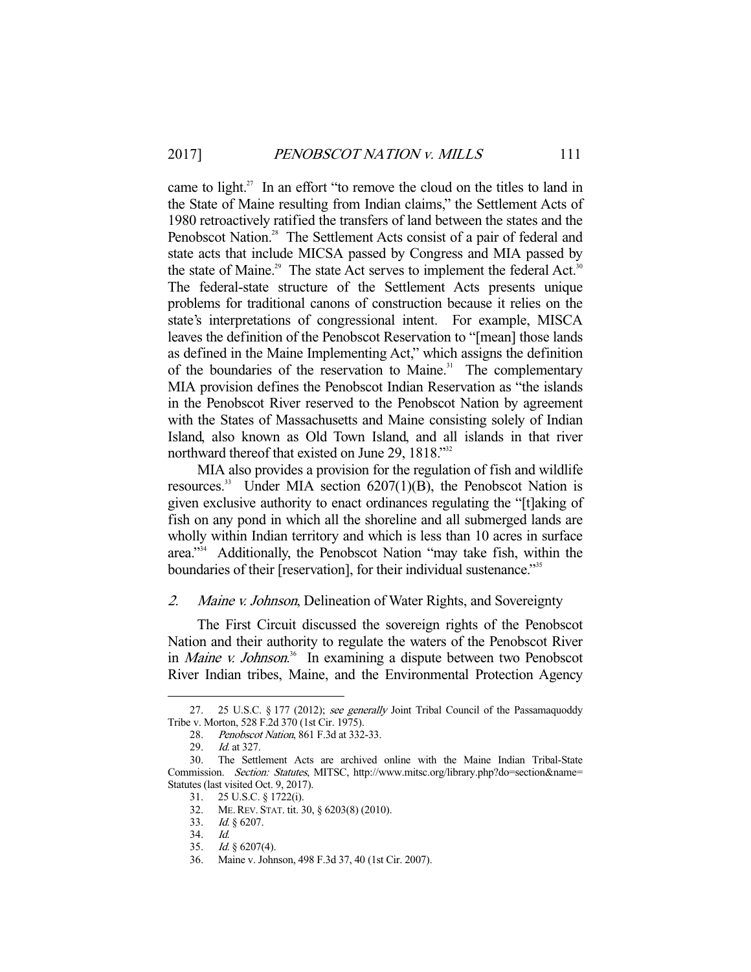came to light.<sup>27</sup> In an effort "to remove the cloud on the titles to land in the State of Maine resulting from Indian claims," the Settlement Acts of 1980 retroactively ratified the transfers of land between the states and the Penobscot Nation.<sup>28</sup> The Settlement Acts consist of a pair of federal and state acts that include MICSA passed by Congress and MIA passed by the state of Maine.<sup>29</sup> The state Act serves to implement the federal Act.<sup>30</sup> The federal-state structure of the Settlement Acts presents unique problems for traditional canons of construction because it relies on the state's interpretations of congressional intent. For example, MISCA leaves the definition of the Penobscot Reservation to "[mean] those lands as defined in the Maine Implementing Act," which assigns the definition of the boundaries of the reservation to Maine.<sup>31</sup> The complementary MIA provision defines the Penobscot Indian Reservation as "the islands in the Penobscot River reserved to the Penobscot Nation by agreement with the States of Massachusetts and Maine consisting solely of Indian Island, also known as Old Town Island, and all islands in that river northward thereof that existed on June 29, 1818."<sup>32</sup>

 MIA also provides a provision for the regulation of fish and wildlife resources. $33$  Under MIA section 6207(1)(B), the Penobscot Nation is given exclusive authority to enact ordinances regulating the "[t]aking of fish on any pond in which all the shoreline and all submerged lands are wholly within Indian territory and which is less than 10 acres in surface area."34 Additionally, the Penobscot Nation "may take fish, within the boundaries of their [reservation], for their individual sustenance."<sup>35</sup>

### 2. Maine v. Johnson, Delineation of Water Rights, and Sovereignty

 The First Circuit discussed the sovereign rights of the Penobscot Nation and their authority to regulate the waters of the Penobscot River in *Maine v. Johnson*.<sup>36</sup> In examining a dispute between two Penobscot River Indian tribes, Maine, and the Environmental Protection Agency

<sup>27. 25</sup> U.S.C. § 177 (2012); see generally Joint Tribal Council of the Passamaquoddy Tribe v. Morton, 528 F.2d 370 (1st Cir. 1975).

<sup>28.</sup> Penobscot Nation, 861 F.3d at 332-33.

 <sup>29.</sup> Id. at 327.

 <sup>30.</sup> The Settlement Acts are archived online with the Maine Indian Tribal-State Commission. Section: Statutes, MITSC, http://www.mitsc.org/library.php?do=section&name= Statutes (last visited Oct. 9, 2017).

 <sup>31. 25</sup> U.S.C. § 1722(i).

 <sup>32.</sup> ME.REV. STAT. tit. 30, § 6203(8) (2010).

 <sup>33.</sup> Id. § 6207.

 <sup>34.</sup> Id.

 <sup>35.</sup> Id. § 6207(4).

 <sup>36.</sup> Maine v. Johnson, 498 F.3d 37, 40 (1st Cir. 2007).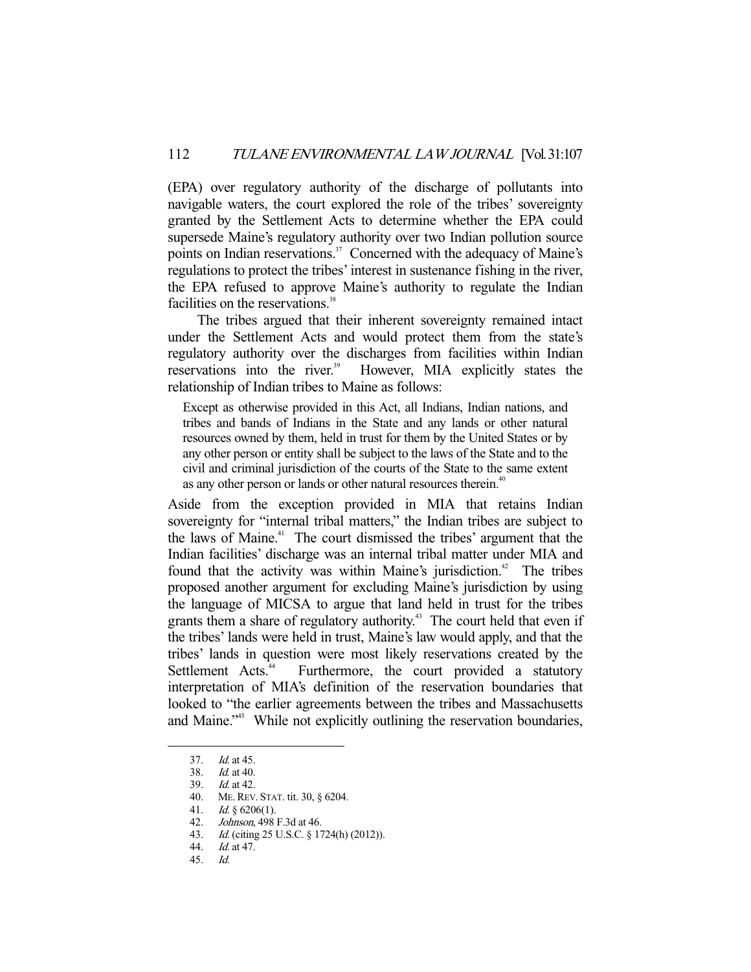(EPA) over regulatory authority of the discharge of pollutants into navigable waters, the court explored the role of the tribes' sovereignty granted by the Settlement Acts to determine whether the EPA could supersede Maine's regulatory authority over two Indian pollution source points on Indian reservations.<sup>37</sup> Concerned with the adequacy of Maine's regulations to protect the tribes' interest in sustenance fishing in the river, the EPA refused to approve Maine's authority to regulate the Indian facilities on the reservations.<sup>38</sup>

 The tribes argued that their inherent sovereignty remained intact under the Settlement Acts and would protect them from the state's regulatory authority over the discharges from facilities within Indian reservations into the river.<sup>39</sup> However, MIA explicitly states the relationship of Indian tribes to Maine as follows:

Except as otherwise provided in this Act, all Indians, Indian nations, and tribes and bands of Indians in the State and any lands or other natural resources owned by them, held in trust for them by the United States or by any other person or entity shall be subject to the laws of the State and to the civil and criminal jurisdiction of the courts of the State to the same extent as any other person or lands or other natural resources therein.<sup>40</sup>

Aside from the exception provided in MIA that retains Indian sovereignty for "internal tribal matters," the Indian tribes are subject to the laws of Maine.<sup>41</sup> The court dismissed the tribes' argument that the Indian facilities' discharge was an internal tribal matter under MIA and found that the activity was within Maine's jurisdiction.<sup>42</sup> The tribes proposed another argument for excluding Maine's jurisdiction by using the language of MICSA to argue that land held in trust for the tribes grants them a share of regulatory authority.<sup>43</sup> The court held that even if the tribes' lands were held in trust, Maine's law would apply, and that the tribes' lands in question were most likely reservations created by the Settlement Acts.<sup>44</sup> Furthermore, the court provided a statutory interpretation of MIA's definition of the reservation boundaries that looked to "the earlier agreements between the tribes and Massachusetts and Maine."<sup>45</sup> While not explicitly outlining the reservation boundaries,

<sup>37.</sup> *Id.* at 45.<br>38. *Id.* at 40.

Id. at 40.

 <sup>39.</sup> Id. at 42.

 <sup>40.</sup> ME.REV. STAT. tit. 30, § 6204.

<sup>41.</sup> *Id.*  $\S$  6206(1).

<sup>42.</sup> *Johnson*, 498 F.3d at 46.

 <sup>43.</sup> Id. (citing 25 U.S.C. § 1724(h) (2012)).

 <sup>44.</sup> Id. at 47.

 <sup>45.</sup> Id.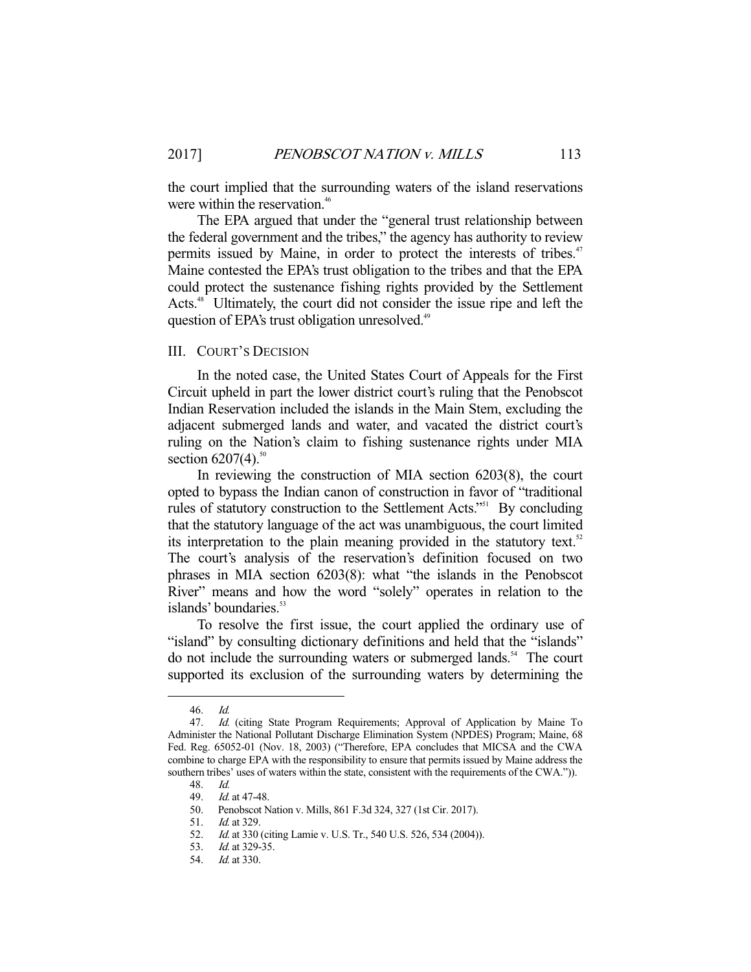the court implied that the surrounding waters of the island reservations were within the reservation.<sup>46</sup>

 The EPA argued that under the "general trust relationship between the federal government and the tribes," the agency has authority to review permits issued by Maine, in order to protect the interests of tribes.<sup>47</sup> Maine contested the EPA's trust obligation to the tribes and that the EPA could protect the sustenance fishing rights provided by the Settlement Acts.<sup>48</sup> Ultimately, the court did not consider the issue ripe and left the question of EPA's trust obligation unresolved.<sup>49</sup>

#### III. COURT'S DECISION

 In the noted case, the United States Court of Appeals for the First Circuit upheld in part the lower district court's ruling that the Penobscot Indian Reservation included the islands in the Main Stem, excluding the adjacent submerged lands and water, and vacated the district court's ruling on the Nation's claim to fishing sustenance rights under MIA section  $6207(4)$ .<sup>50</sup>

 In reviewing the construction of MIA section 6203(8), the court opted to bypass the Indian canon of construction in favor of "traditional rules of statutory construction to the Settlement Acts."<sup>51</sup> By concluding that the statutory language of the act was unambiguous, the court limited its interpretation to the plain meaning provided in the statutory text. $52$ The court's analysis of the reservation's definition focused on two phrases in MIA section 6203(8): what "the islands in the Penobscot River" means and how the word "solely" operates in relation to the islands' boundaries.<sup>53</sup>

 To resolve the first issue, the court applied the ordinary use of "island" by consulting dictionary definitions and held that the "islands" do not include the surrounding waters or submerged lands. $54$  The court supported its exclusion of the surrounding waters by determining the

 <sup>46.</sup> Id.

<sup>47.</sup> Id. (citing State Program Requirements; Approval of Application by Maine To Administer the National Pollutant Discharge Elimination System (NPDES) Program; Maine, 68 Fed. Reg. 65052-01 (Nov. 18, 2003) ("Therefore, EPA concludes that MICSA and the CWA combine to charge EPA with the responsibility to ensure that permits issued by Maine address the southern tribes' uses of waters within the state, consistent with the requirements of the CWA.")).

 <sup>48.</sup> Id.

 <sup>49.</sup> Id. at 47-48.

 <sup>50.</sup> Penobscot Nation v. Mills, 861 F.3d 324, 327 (1st Cir. 2017).

 <sup>51.</sup> Id. at 329.

 <sup>52.</sup> Id. at 330 (citing Lamie v. U.S. Tr., 540 U.S. 526, 534 (2004)).

<sup>53.</sup> *Id.* at 329-35.

 <sup>54.</sup> Id. at 330.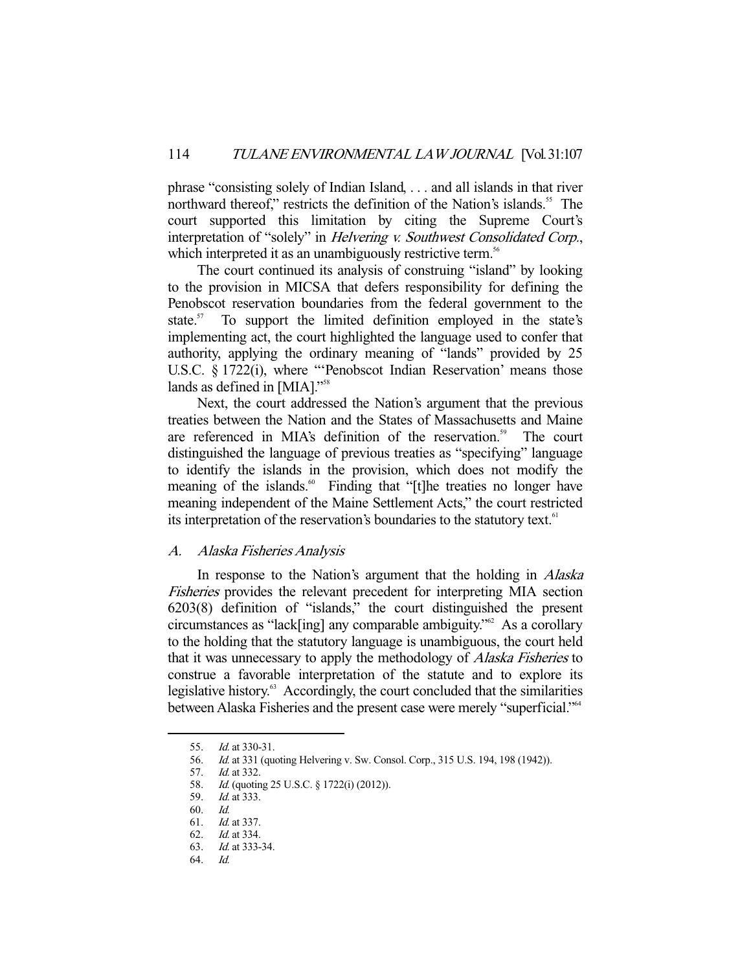phrase "consisting solely of Indian Island, . . . and all islands in that river northward thereof," restricts the definition of the Nation's islands.<sup>55</sup> The court supported this limitation by citing the Supreme Court's interpretation of "solely" in *Helvering v. Southwest Consolidated Corp.*, which interpreted it as an unambiguously restrictive term.<sup>56</sup>

 The court continued its analysis of construing "island" by looking to the provision in MICSA that defers responsibility for defining the Penobscot reservation boundaries from the federal government to the state. $57$  To support the limited definition employed in the state's implementing act, the court highlighted the language used to confer that authority, applying the ordinary meaning of "lands" provided by 25 U.S.C. § 1722(i), where "'Penobscot Indian Reservation' means those lands as defined in [MIA]."<sup>58</sup>

 Next, the court addressed the Nation's argument that the previous treaties between the Nation and the States of Massachusetts and Maine are referenced in MIA's definition of the reservation.<sup>59</sup> The court distinguished the language of previous treaties as "specifying" language to identify the islands in the provision, which does not modify the meaning of the islands.<sup>60</sup> Finding that "[t]he treaties no longer have meaning independent of the Maine Settlement Acts," the court restricted its interpretation of the reservation's boundaries to the statutory text.<sup>61</sup>

#### A. Alaska Fisheries Analysis

In response to the Nation's argument that the holding in *Alaska* Fisheries provides the relevant precedent for interpreting MIA section 6203(8) definition of "islands," the court distinguished the present circumstances as "lack[ing] any comparable ambiguity."62 As a corollary to the holding that the statutory language is unambiguous, the court held that it was unnecessary to apply the methodology of Alaska Fisheries to construe a favorable interpretation of the statute and to explore its legislative history. $63$  Accordingly, the court concluded that the similarities between Alaska Fisheries and the present case were merely "superficial."<sup>64</sup>

<sup>55.</sup> *Id.* at 330-31.

 <sup>56.</sup> Id. at 331 (quoting Helvering v. Sw. Consol. Corp., 315 U.S. 194, 198 (1942)).

 <sup>57.</sup> Id. at 332.

 <sup>58.</sup> Id. (quoting 25 U.S.C. § 1722(i) (2012)).

 <sup>59.</sup> Id. at 333.

 <sup>60.</sup> Id.

 <sup>61.</sup> Id. at 337.

 <sup>62.</sup> Id. at 334.

 <sup>63.</sup> Id. at 333-34.

 <sup>64.</sup> Id.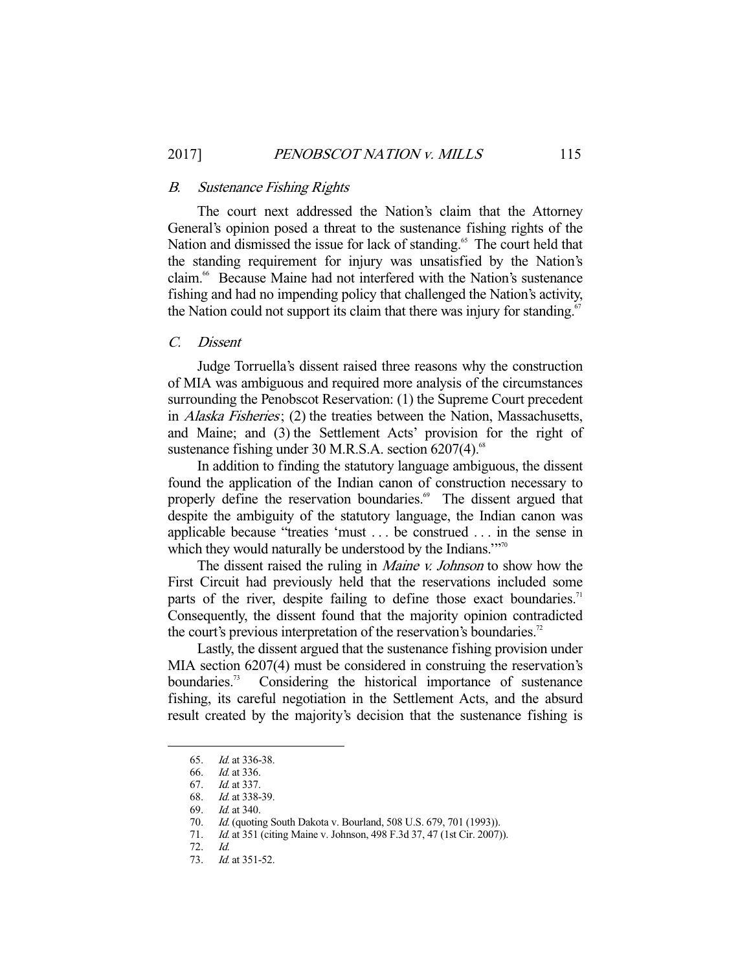#### B. Sustenance Fishing Rights

 The court next addressed the Nation's claim that the Attorney General's opinion posed a threat to the sustenance fishing rights of the Nation and dismissed the issue for lack of standing.<sup>65</sup> The court held that the standing requirement for injury was unsatisfied by the Nation's claim.<sup>66</sup> Because Maine had not interfered with the Nation's sustenance fishing and had no impending policy that challenged the Nation's activity, the Nation could not support its claim that there was injury for standing.<sup>67</sup>

### C. Dissent

 Judge Torruella's dissent raised three reasons why the construction of MIA was ambiguous and required more analysis of the circumstances surrounding the Penobscot Reservation: (1) the Supreme Court precedent in Alaska Fisheries; (2) the treaties between the Nation, Massachusetts, and Maine; and (3) the Settlement Acts' provision for the right of sustenance fishing under 30 M.R.S.A. section  $6207(4)$ .<sup>68</sup>

 In addition to finding the statutory language ambiguous, the dissent found the application of the Indian canon of construction necessary to properly define the reservation boundaries.<sup>69</sup> The dissent argued that despite the ambiguity of the statutory language, the Indian canon was applicable because "treaties 'must . . . be construed . . . in the sense in which they would naturally be understood by the Indians."<sup>70</sup>

The dissent raised the ruling in *Maine v. Johnson* to show how the First Circuit had previously held that the reservations included some parts of the river, despite failing to define those exact boundaries.<sup>71</sup> Consequently, the dissent found that the majority opinion contradicted the court's previous interpretation of the reservation's boundaries.<sup>72</sup>

 Lastly, the dissent argued that the sustenance fishing provision under MIA section 6207(4) must be considered in construing the reservation's boundaries.<sup>73</sup> Considering the historical importance of sustenance fishing, its careful negotiation in the Settlement Acts, and the absurd result created by the majority's decision that the sustenance fishing is

<sup>65.</sup> *Id.* at 336-38.<br>66. *Id.* at 336.

*Id.* at 336.

 <sup>67.</sup> Id. at 337.

 <sup>68.</sup> Id. at 338-39.

<sup>69.</sup> *Id.* at 340.

<sup>70.</sup> *Id.* (quoting South Dakota v. Bourland, 508 U.S. 679, 701 (1993)).<br>71. *Id.* at 351 (citing Maine v. Johnson, 498 F.3d 37, 47 (1st Cir. 2007)

*Id.* at 351 (citing Maine v. Johnson, 498 F.3d 37, 47 (1st Cir. 2007)).

 <sup>72.</sup> Id.

<sup>73.</sup> *Id.* at 351-52.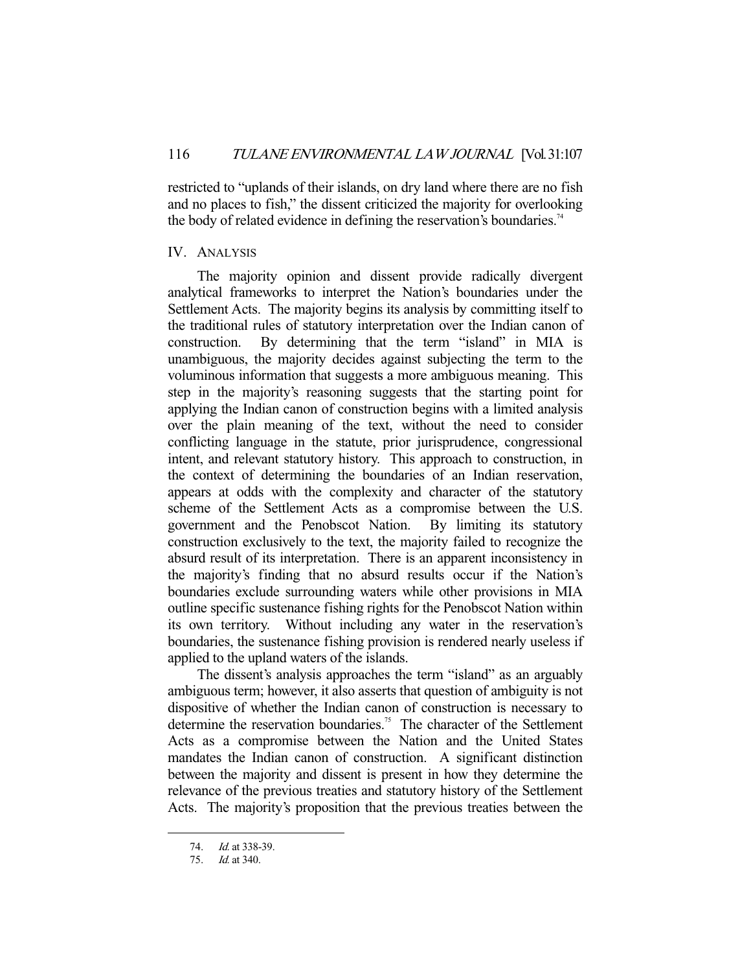restricted to "uplands of their islands, on dry land where there are no fish and no places to fish," the dissent criticized the majority for overlooking the body of related evidence in defining the reservation's boundaries.<sup>74</sup>

### IV. ANALYSIS

 The majority opinion and dissent provide radically divergent analytical frameworks to interpret the Nation's boundaries under the Settlement Acts. The majority begins its analysis by committing itself to the traditional rules of statutory interpretation over the Indian canon of construction. By determining that the term "island" in MIA is unambiguous, the majority decides against subjecting the term to the voluminous information that suggests a more ambiguous meaning. This step in the majority's reasoning suggests that the starting point for applying the Indian canon of construction begins with a limited analysis over the plain meaning of the text, without the need to consider conflicting language in the statute, prior jurisprudence, congressional intent, and relevant statutory history. This approach to construction, in the context of determining the boundaries of an Indian reservation, appears at odds with the complexity and character of the statutory scheme of the Settlement Acts as a compromise between the U.S. government and the Penobscot Nation. By limiting its statutory construction exclusively to the text, the majority failed to recognize the absurd result of its interpretation. There is an apparent inconsistency in the majority's finding that no absurd results occur if the Nation's boundaries exclude surrounding waters while other provisions in MIA outline specific sustenance fishing rights for the Penobscot Nation within its own territory. Without including any water in the reservation's boundaries, the sustenance fishing provision is rendered nearly useless if applied to the upland waters of the islands.

 The dissent's analysis approaches the term "island" as an arguably ambiguous term; however, it also asserts that question of ambiguity is not dispositive of whether the Indian canon of construction is necessary to determine the reservation boundaries.<sup>75</sup> The character of the Settlement Acts as a compromise between the Nation and the United States mandates the Indian canon of construction. A significant distinction between the majority and dissent is present in how they determine the relevance of the previous treaties and statutory history of the Settlement Acts. The majority's proposition that the previous treaties between the

 <sup>74.</sup> Id. at 338-39.

 <sup>75.</sup> Id. at 340.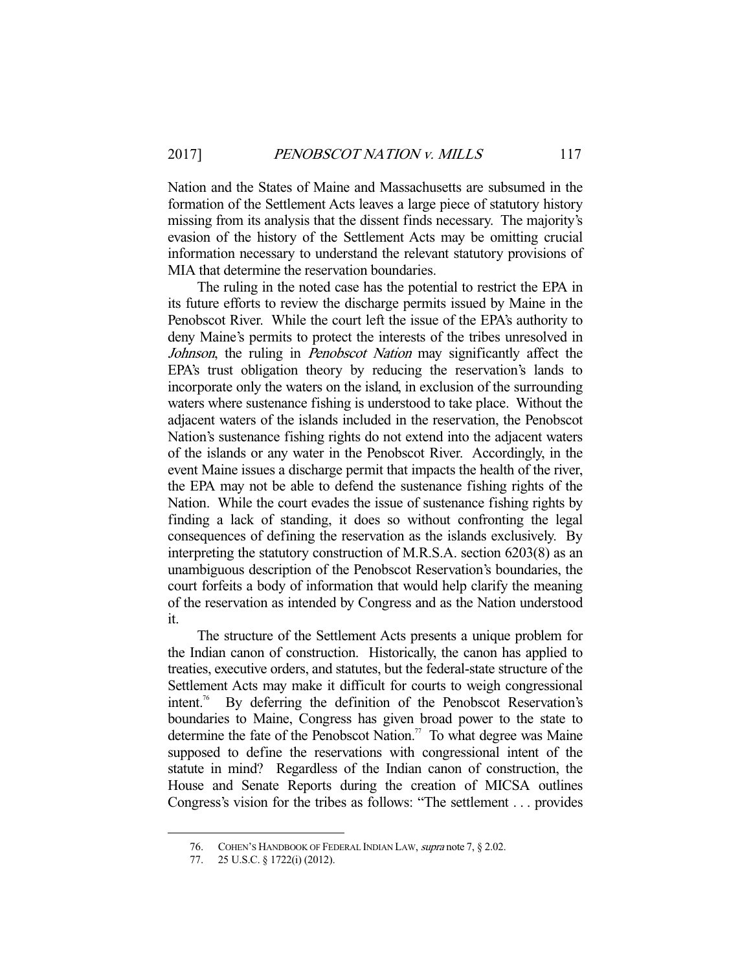Nation and the States of Maine and Massachusetts are subsumed in the formation of the Settlement Acts leaves a large piece of statutory history missing from its analysis that the dissent finds necessary. The majority's evasion of the history of the Settlement Acts may be omitting crucial information necessary to understand the relevant statutory provisions of MIA that determine the reservation boundaries.

 The ruling in the noted case has the potential to restrict the EPA in its future efforts to review the discharge permits issued by Maine in the Penobscot River. While the court left the issue of the EPA's authority to deny Maine's permits to protect the interests of the tribes unresolved in Johnson, the ruling in *Penobscot Nation* may significantly affect the EPA's trust obligation theory by reducing the reservation's lands to incorporate only the waters on the island, in exclusion of the surrounding waters where sustenance fishing is understood to take place. Without the adjacent waters of the islands included in the reservation, the Penobscot Nation's sustenance fishing rights do not extend into the adjacent waters of the islands or any water in the Penobscot River. Accordingly, in the event Maine issues a discharge permit that impacts the health of the river, the EPA may not be able to defend the sustenance fishing rights of the Nation. While the court evades the issue of sustenance fishing rights by finding a lack of standing, it does so without confronting the legal consequences of defining the reservation as the islands exclusively. By interpreting the statutory construction of M.R.S.A. section 6203(8) as an unambiguous description of the Penobscot Reservation's boundaries, the court forfeits a body of information that would help clarify the meaning of the reservation as intended by Congress and as the Nation understood it.

 The structure of the Settlement Acts presents a unique problem for the Indian canon of construction. Historically, the canon has applied to treaties, executive orders, and statutes, but the federal-state structure of the Settlement Acts may make it difficult for courts to weigh congressional intent.76 By deferring the definition of the Penobscot Reservation's boundaries to Maine, Congress has given broad power to the state to determine the fate of the Penobscot Nation.<sup>77</sup> To what degree was Maine supposed to define the reservations with congressional intent of the statute in mind? Regardless of the Indian canon of construction, the House and Senate Reports during the creation of MICSA outlines Congress's vision for the tribes as follows: "The settlement . . . provides

 <sup>76.</sup> COHEN'S HANDBOOK OF FEDERAL INDIAN LAW, supra note 7, § 2.02.

 <sup>77. 25</sup> U.S.C. § 1722(i) (2012).